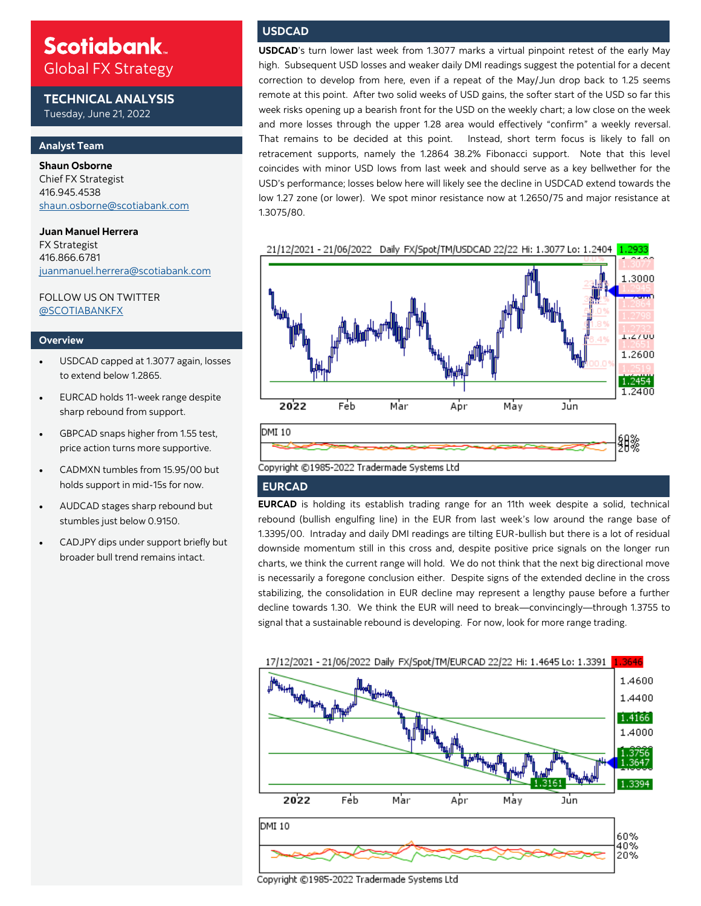## **Scotiabank** Global FX Strategy

**TECHNICAL ANALYSIS** Tuesday, June 21, 2022

#### **Analyst Team**

**Shaun Osborne**  Chief FX Strategist 416.945.4538 [shaun.osborne@scotiabank.com](mailto:shaun.osborne@scotiabank.com)

#### **Juan Manuel Herrera**  FX Strategist 416.866.6781 [juanmanuel.herrera@scotiabank.com](mailto:juanmanuel.herrera@scotiabank.com)

FOLLOW US ON TWITTER [@SCOTIABANKFX](https://twitter.com/Scotiabankfx)

#### **Overview**

- USDCAD capped at 1.3077 again, losses to extend below 1.2865.
- EURCAD holds 11-week range despite sharp rebound from support.
- GBPCAD snaps higher from 1.55 test, price action turns more supportive.
- CADMXN tumbles from 15.95/00 but holds support in mid-15s for now.
- AUDCAD stages sharp rebound but stumbles just below 0.9150.
- CADJPY dips under support briefly but broader bull trend remains intact.

### **USDCAD**

**USDCAD**'s turn lower last week from 1.3077 marks a virtual pinpoint retest of the early May high. Subsequent USD losses and weaker daily DMI readings suggest the potential for a decent correction to develop from here, even if a repeat of the May/Jun drop back to 1.25 seems remote at this point. After two solid weeks of USD gains, the softer start of the USD so far this week risks opening up a bearish front for the USD on the weekly chart; a low close on the week and more losses through the upper 1.28 area would effectively "confirm" a weekly reversal. That remains to be decided at this point. Instead, short term focus is likely to fall on retracement supports, namely the 1.2864 38.2% Fibonacci support. Note that this level coincides with minor USD lows from last week and should serve as a key bellwether for the USD's performance; losses below here will likely see the decline in USDCAD extend towards the low 1.27 zone (or lower). We spot minor resistance now at 1.2650/75 and major resistance at 1.3075/80.



#### **EURCAD**

**EURCAD** is holding its establish trading range for an 11th week despite a solid, technical rebound (bullish engulfing line) in the EUR from last week's low around the range base of 1.3395/00. Intraday and daily DMI readings are tilting EUR-bullish but there is a lot of residual downside momentum still in this cross and, despite positive price signals on the longer run charts, we think the current range will hold. We do not think that the next big directional move is necessarily a foregone conclusion either. Despite signs of the extended decline in the cross stabilizing, the consolidation in EUR decline may represent a lengthy pause before a further decline towards 1.30. We think the EUR will need to break—convincingly—through 1.3755 to signal that a sustainable rebound is developing. For now, look for more range trading.



Copyright ©1985-2022 Tradermade Systems Ltd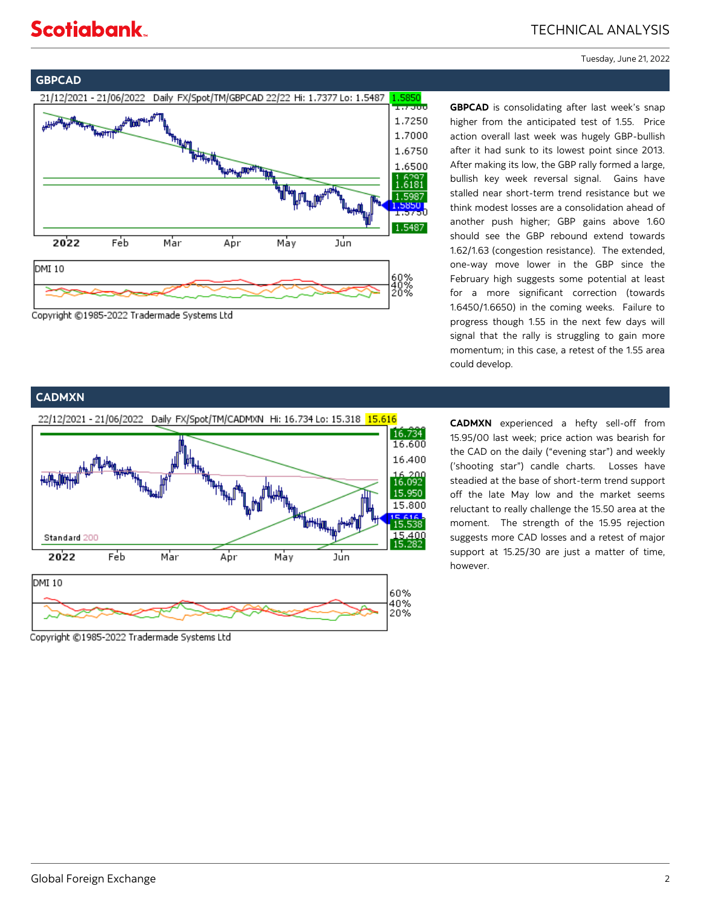# **Scotiabank**

Tuesday, June 21, 2022



Copyright ©1985-2022 Tradermade Systems Ltd

**GBPCAD** is consolidating after last week's snap higher from the anticipated test of 1.55. Price action overall last week was hugely GBP-bullish after it had sunk to its lowest point since 2013. After making its low, the GBP rally formed a large, bullish key week reversal signal. Gains have stalled near short-term trend resistance but we think modest losses are a consolidation ahead of another push higher; GBP gains above 1.60 should see the GBP rebound extend towards 1.62/1.63 (congestion resistance). The extended, one-way move lower in the GBP since the February high suggests some potential at least for a more significant correction (towards 1.6450/1.6650) in the coming weeks. Failure to progress though 1.55 in the next few days will signal that the rally is struggling to gain more momentum; in this case, a retest of the 1.55 area could develop.

### **CADMXN**



**CADMXN** experienced a hefty sell-off from 15.95/00 last week; price action was bearish for the CAD on the daily ("evening star") and weekly ('shooting star") candle charts. Losses have steadied at the base of short-term trend support off the late May low and the market seems reluctant to really challenge the 15.50 area at the moment. The strength of the 15.95 rejection suggests more CAD losses and a retest of major support at 15.25/30 are just a matter of time, however.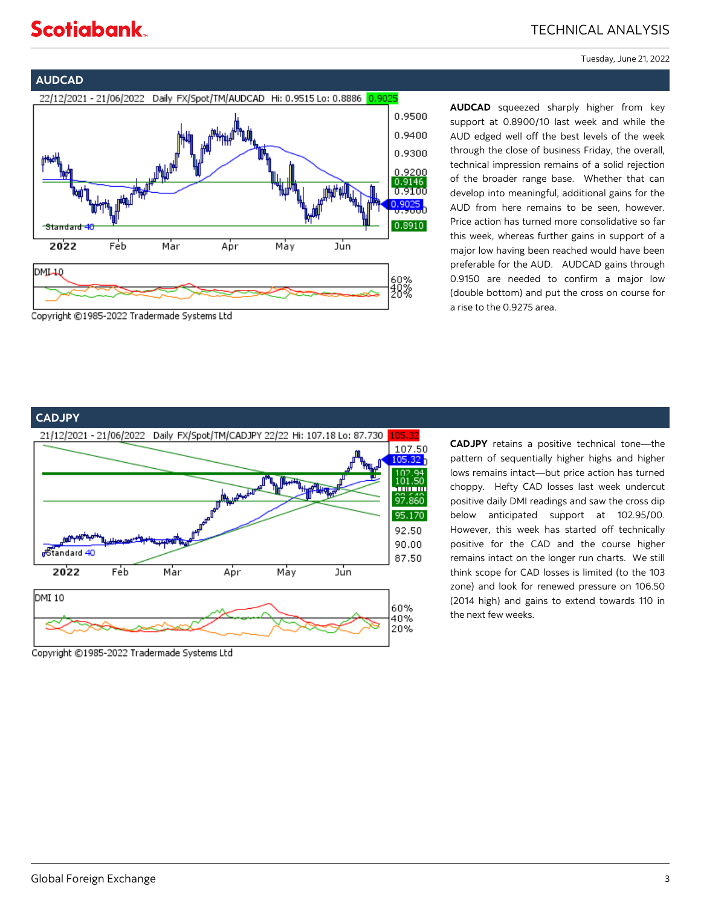# **Scotiabank**

## TECHNICAL ANALYSIS

Tuesday, June 21, 2022

### **AUDCAD**



**AUDCAD** squeezed sharply higher from key support at 0.8900/10 last week and while the AUD edged well off the best levels of the week through the close of business Friday, the overall, technical impression remains of a solid rejection of the broader range base. Whether that can develop into meaningful, additional gains for the AUD from here remains to be seen, however. Price action has turned more consolidative so far this week, whereas further gains in support of a major low having been reached would have been preferable for the AUD. AUDCAD gains through 0.9150 are needed to confirm a major low (double bottom) and put the cross on course for a rise to the 0.9275 area.

## **CADJPY**



Copyright ©1985-2022 Tradermade Systems Ltd

**CADJPY** retains a positive technical tone—the pattern of sequentially higher highs and higher lows remains intact—but price action has turned choppy. Hefty CAD losses last week undercut positive daily DMI readings and saw the cross dip below anticipated support at 102.95/00. However, this week has started off technically positive for the CAD and the course higher remains intact on the longer run charts. We still think scope for CAD losses is limited (to the 103 zone) and look for renewed pressure on 106.50 (2014 high) and gains to extend towards 110 in the next few weeks.